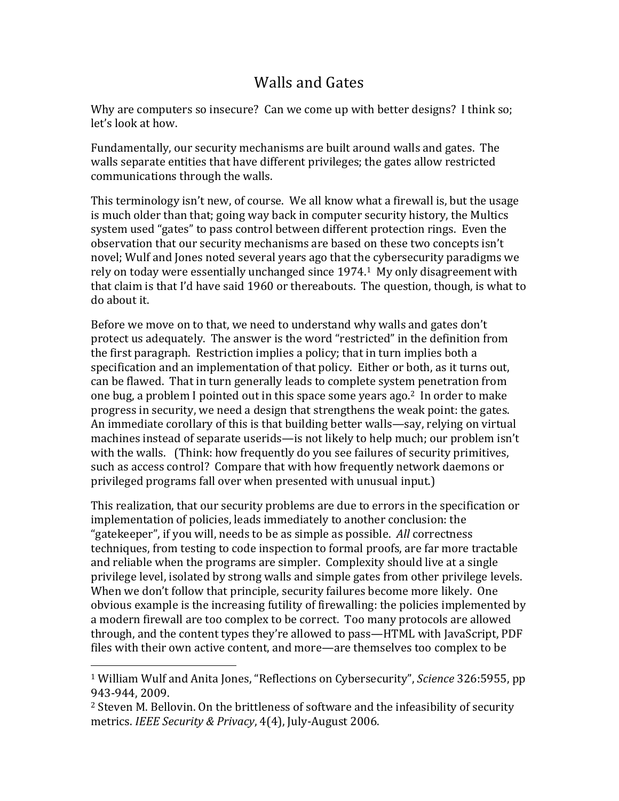## Walls and Gates

Why are computers so insecure? Can we come up with better designs? I think so: let's look at how.

Fundamentally, our security mechanisms are built around walls and gates. The walls separate entities that have different privileges; the gates allow restricted communications through the walls.

This terminology isn't new, of course. We all know what a firewall is, but the usage is much older than that; going way back in computer security history, the Multics system used "gates" to pass control between different protection rings. Even the observation that our security mechanisms are based on these two concepts isn't novel; Wulf and Jones noted several years ago that the cybersecurity paradigms we rely on today were essentially unchanged since  $1974<sup>1</sup>$  My only disagreement with that claim is that I'd have said 1960 or thereabouts. The question, though, is what to do about it.

Before we move on to that, we need to understand why walls and gates don't protect us adequately. The answer is the word "restricted" in the definition from the first paragraph. Restriction implies a policy; that in turn implies both a specification and an implementation of that policy. Either or both, as it turns out, can be flawed. That in turn generally leads to complete system penetration from one bug, a problem I pointed out in this space some years ago.<sup>2</sup> In order to make progress in security, we need a design that strengthens the weak point: the gates. An immediate corollary of this is that building better walls—say, relying on virtual machines instead of separate userids—is not likely to help much; our problem isn't with the walls. (Think: how frequently do you see failures of security primitives, such as access control? Compare that with how frequently network daemons or privileged programs fall over when presented with unusual input.)

This realization, that our security problems are due to errors in the specification or implementation of policies, leads immediately to another conclusion: the "gatekeeper", if you will, needs to be as simple as possible. All correctness techniques, from testing to code inspection to formal proofs, are far more tractable and reliable when the programs are simpler. Complexity should live at a single privilege level, isolated by strong walls and simple gates from other privilege levels. When we don't follow that principle, security failures become more likely. One obvious example is the increasing futility of firewalling: the policies implemented by a modern firewall are too complex to be correct. Too many protocols are allowed through, and the content types they're allowed to pass—HTML with JavaScript, PDF files with their own active content, and more—are themselves too complex to be

 

<sup>&</sup>lt;sup>1</sup> William Wulf and Anita Jones, "Reflections on Cybersecurity", *Science* 326:5955, pp 943-944, 2009.

 $2$  Steven M. Bellovin. On the brittleness of software and the infeasibility of security metrics. *IEEE Security & Privacy*, 4(4), July-August 2006.